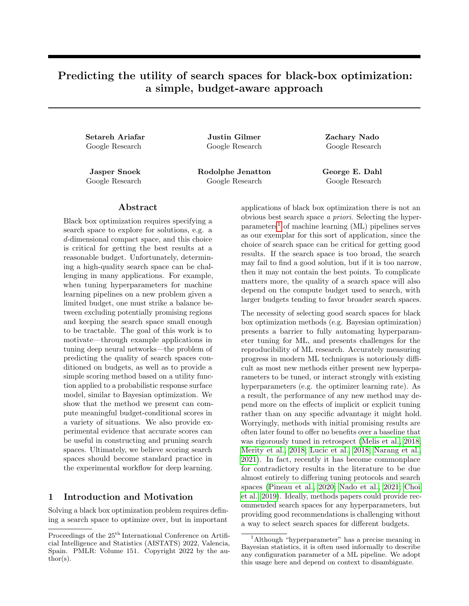# Predicting the utility of search spaces for black-box optimization: a simple, budget-aware approach

Setareh Ariafar Justin Gilmer Zachary Nado Google Research Google Research Google Research

Jasper Snoek Rodolphe Jenatton George E. Dahl Google Research Google Research Google Research

## ${\rm Abstract}$

Black box optimization requires specifying a search space to explore for solutions, e.g. a d-dimensional compact space, and this choice is critical for getting the best results at a reasonable budget. Unfortunately, determining a high-quality search space can be challenging in many applications. For example, when tuning hyperparameters for machine learning pipelines on a new problem given a limited budget, one must strike a balance between excluding potentially promising regions and keeping the search space small enough to be tractable. The goal of this work is to motivate—through example applications in tuning deep neural networks—the problem of predicting the quality of search spaces conditioned on budgets, as well as to provide a simple scoring method based on a utility function applied to a probabilistic response surface model, similar to Bayesian optimization. We show that the method we present can compute meaningful budget-conditional scores in a variety of situations. We also provide experimental evidence that accurate scores can be useful in constructing and pruning search spaces. Ultimately, we believe scoring search spaces should become standard practice in the experimental workflow for deep learning.

## 1 Introduction and Motivation

Solving a black box optimization problem requires defining a search space to optimize over, but in important applications of black box optimization there is not an obvious best search space a priori. Selecting the hyper- $parameters<sup>1</sup>$  $parameters<sup>1</sup>$  $parameters<sup>1</sup>$  of machine learning (ML) pipelines serves as our exemplar for this sort of application, since the choice of search space can be critical for getting good results. If the search space is too broad, the search may fail to find a good solution, but if it is too narrow, then it may not contain the best points. To complicate matters more, the quality of a search space will also depend on the compute budget used to search, with larger budgets tending to favor broader search spaces.

The necessity of selecting good search spaces for black box optimization methods (e.g. Bayesian optimization) presents a barrier to fully automating hyperparameter tuning for ML, and presents challenges for the reproducibility of ML research. Accurately measuring progress in modern ML techniques is notoriously difficult as most new methods either present new hyperparameters to be tuned, or interact strongly with existing hyperparameters (e.g. the optimizer learning rate). As a result, the performance of any new method may depend more on the effects of implicit or explicit tuning rather than on any specific advantage it might hold. Worryingly, methods with initial promising results are often later found to offer no benefits over a baseline that was rigorously tuned in retrospect [\(Melis et al., 2018;](#page-9-0) [Merity et al., 2018;](#page-9-1) [Lucic et al., 2018;](#page-9-2) [Narang et al.,](#page-10-0) [2021\)](#page-10-0). In fact, recently it has become commonplace for contradictory results in the literature to be due almost entirely to differing tuning protocols and search spaces [\(Pineau et al., 2020;](#page-10-1) [Nado et al., 2021;](#page-9-3) [Choi](#page-9-4) [et al., 2019\)](#page-9-4). Ideally, methods papers could provide recommended search spaces for any hyperparameters, but providing good recommendations is challenging without a way to select search spaces for different budgets.

Proceedings of the  $25<sup>th</sup>$  International Conference on Artificial Intelligence and Statistics (AISTATS) 2022, Valencia, Spain. PMLR: Volume 151. Copyright 2022 by the author(s).

<span id="page-0-0"></span><sup>&</sup>lt;sup>1</sup>Although "hyperparameter" has a precise meaning in Bayesian statistics, it is often used informally to describe any configuration parameter of a ML pipeline. We adopt this usage here and depend on context to disambiguate.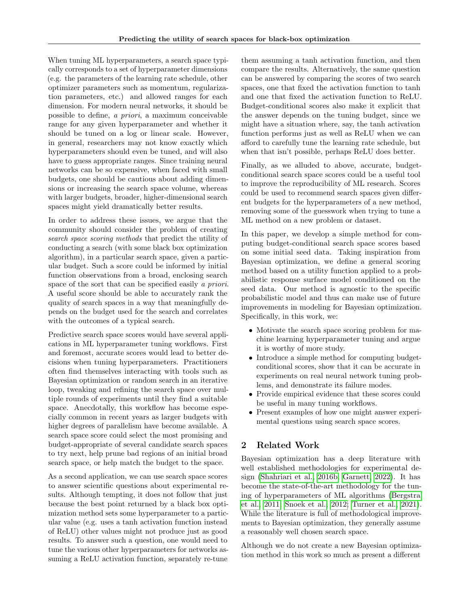When tuning ML hyperparameters, a search space typically corresponds to a set of hyperparameter dimensions (e.g. the parameters of the learning rate schedule, other optimizer parameters such as momentum, regularization parameters, etc.) and allowed ranges for each dimension. For modern neural networks, it should be possible to define, a priori, a maximum conceivable range for any given hyperparameter and whether it should be tuned on a log or linear scale. However, in general, researchers may not know exactly which hyperparameters should even be tuned, and will also have to guess appropriate ranges. Since training neural networks can be so expensive, when faced with small budgets, one should be cautious about adding dimensions or increasing the search space volume, whereas with larger budgets, broader, higher-dimensional search spaces might yield dramatically better results.

In order to address these issues, we argue that the community should consider the problem of creating search space scoring methods that predict the utility of conducting a search (with some black box optimization algorithm), in a particular search space, given a particular budget. Such a score could be informed by initial function observations from a broad, enclosing search space of the sort that can be specified easily a priori. A useful score should be able to accurately rank the quality of search spaces in a way that meaningfully depends on the budget used for the search and correlates with the outcomes of a typical search.

Predictive search space scores would have several applications in ML hyperparameter tuning workflows. First and foremost, accurate scores would lead to better decisions when tuning hyperparameters. Practitioners often find themselves interacting with tools such as Bayesian optimization or random search in an iterative loop, tweaking and refining the search space over multiple rounds of experiments until they find a suitable space. Anecdotally, this workflow has become especially common in recent years as larger budgets with higher degrees of parallelism have become available. A search space score could select the most promising and budget-appropriate of several candidate search spaces to try next, help prune bad regions of an initial broad search space, or help match the budget to the space.

As a second application, we can use search space scores to answer scientific questions about experimental results. Although tempting, it does not follow that just because the best point returned by a black box optimization method sets some hyperparameter to a particular value (e.g. uses a tanh activation function instead of ReLU) other values might not produce just as good results. To answer such a question, one would need to tune the various other hyperparameters for networks assuming a ReLU activation function, separately re-tune

them assuming a tanh activation function, and then compare the results. Alternatively, the same question can be answered by comparing the scores of two search spaces, one that fixed the activation function to tanh and one that fixed the activation function to ReLU. Budget-conditional scores also make it explicit that the answer depends on the tuning budget, since we might have a situation where, say, the tanh activation function performs just as well as ReLU when we can afford to carefully tune the learning rate schedule, but when that isn't possible, perhaps ReLU does better.

Finally, as we alluded to above, accurate, budgetconditional search space scores could be a useful tool to improve the reproducibility of ML research. Scores could be used to recommend search spaces given different budgets for the hyperparameters of a new method, removing some of the guesswork when trying to tune a ML method on a new problem or dataset.

In this paper, we develop a simple method for computing budget-conditional search space scores based on some initial seed data. Taking inspiration from Bayesian optimization, we define a general scoring method based on a utility function applied to a probabilistic response surface model conditioned on the seed data. Our method is agnostic to the specific probabilistic model and thus can make use of future improvements in modeling for Bayesian optimization. Specifically, in this work, we:

- Motivate the search space scoring problem for machine learning hyperparameter tuning and argue it is worthy of more study.
- Introduce a simple method for computing budgetconditional scores, show that it can be accurate in experiments on real neural network tuning problems, and demonstrate its failure modes.
- Provide empirical evidence that these scores could be useful in many tuning workflows.
- Present examples of how one might answer experimental questions using search space scores.

## 2 Related Work

Bayesian optimization has a deep literature with well established methodologies for experimental design [\(Shahriari et al., 2016b;](#page-10-2) [Garnett, 2022\)](#page-9-5). It has become the state-of-the-art methodology for the tuning of hyperparameters of ML algorithms [\(Bergstra](#page-9-6) [et al., 2011;](#page-9-6) [Snoek et al., 2012;](#page-10-3) [Turner et al., 2021\)](#page-10-4). While the literature is full of methodological improvements to Bayesian optimization, they generally assume a reasonably well chosen search space.

Although we do not create a new Bayesian optimization method in this work so much as present a different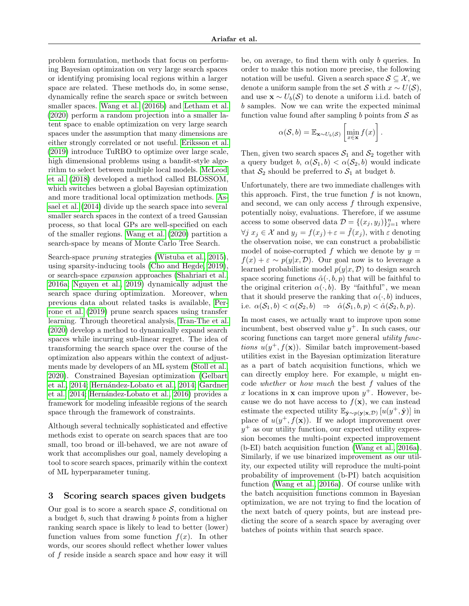problem formulation, methods that focus on performing Bayesian optimization on very large search spaces or identifying promising local regions within a larger space are related. These methods do, in some sense, dynamically refine the search space or switch between smaller spaces. [Wang et al.](#page-10-5) [\(2016b\)](#page-10-5) and [Letham et al.](#page-9-7) [\(2020\)](#page-9-7) perform a random projection into a smaller latent space to enable optimization on very large search spaces under the assumption that many dimensions are either strongly correlated or not useful. [Eriksson et al.](#page-9-8) [\(2019\)](#page-9-8) introduce TuRBO to optimize over large scale, high dimensional problems using a bandit-style algorithm to select between multiple local models. [McLeod](#page-9-9) [et al.](#page-9-9) [\(2018\)](#page-9-9) developed a method called BLOSSOM, which switches between a global Bayesian optimization and more traditional local optimization methods. [As](#page-9-10)[sael et al.](#page-9-10) [\(2014\)](#page-9-10) divide up the search space into several smaller search spaces in the context of a treed Gaussian process, so that local GPs are well-specified on each of the smaller regions. [Wang et al.](#page-10-6) [\(2020\)](#page-10-6) partition a search-space by means of Monte Carlo Tree Search.

Search-space pruning strategies [\(Wistuba et al., 2015\)](#page-10-7), using sparsity-inducing tools [\(Cho and Hegde, 2019\)](#page-9-11), or search-space expansion approaches [\(Shahriari et al.,](#page-10-8) [2016a;](#page-10-8) [Nguyen et al., 2019\)](#page-10-9) dynamically adjust the search space during optimization. Moreover, when previous data about related tasks is available, [Per](#page-10-10)[rone et al.](#page-10-10) [\(2019\)](#page-10-10) prune search spaces using transfer learning. Through theoretical analysis, [Tran-The et al.](#page-10-11) [\(2020\)](#page-10-11) develop a method to dynamically expand search spaces while incurring sub-linear regret. The idea of transforming the search space over the course of the optimization also appears within the context of adjustments made by developers of an ML system [\(Stoll et al.,](#page-10-12) [2020\)](#page-10-12). Constrained Bayesian optimization [\(Gelbart](#page-9-12) [et al., 2014;](#page-9-12) Hernández-Lobato et al., 2014; [Gardner](#page-9-14) [et al., 2014;](#page-9-14) Hernández-Lobato et al., 2016) provides a framework for modeling infeasible regions of the search space through the framework of constraints.

Although several technically sophisticated and effective methods exist to operate on search spaces that are too small, too broad or ill-behaved, we are not aware of work that accomplishes our goal, namely developing a tool to score search spaces, primarily within the context of ML hyperparameter tuning.

## 3 Scoring search spaces given budgets

Our goal is to score a search space  $S$ , conditional on a budget  $b$ , such that drawing  $b$  points from a higher ranking search space is likely to lead to better (lower) function values from some function  $f(x)$ . In other words, our scores should reflect whether lower values of  $f$  reside inside a search space and how easy it will be, on average, to find them with only b queries. In order to make this notion more precise, the following notation will be useful. Given a search space  $S \subseteq \mathcal{X}$ , we denote a uniform sample from the set S with  $x \sim U(\mathcal{S}),$ and use  $\mathbf{x} \sim U_b(\mathcal{S})$  to denote a uniform i.i.d. batch of b samples. Now we can write the expected minimal function value found after sampling b points from  $\mathcal S$  as

$$
\alpha(\mathcal{S},b) = \mathbb{E}_{\mathbf{x}\sim U_b(\mathcal{S})}\left[\min_{x\in\mathbf{x}} f(x)\right].
$$

Then, given two search spaces  $S_1$  and  $S_2$  together with a query budget b,  $\alpha(S_1, b) < \alpha(S_2, b)$  would indicate that  $S_2$  should be preferred to  $S_1$  at budget b.

Unfortunately, there are two immediate challenges with this approach. First, the true function  $f$  is not known, and second, we can only access f through expensive, potentially noisy, evaluations. Therefore, if we assume access to some observed data  $\mathcal{D} = \{(x_j, y_j)\}_{j=1}^n$  where  $\forall j \ x_j \in \mathcal{X}$  and  $y_j = f(x_j) + \varepsilon = \tilde{f}(x_j)$ , with  $\varepsilon$  denoting the observation noise, we can construct a probabilistic model of noise-corrupted f which we denote by  $y =$  $f(x) + \varepsilon \sim p(y|x, \mathcal{D})$ . Our goal now is to leverage a learned probabilistic model  $p(y|x, \mathcal{D})$  to design search space scoring functions  $\hat{\alpha}(\cdot, b, p)$  that will be faithful to the original criterion  $\alpha(\cdot, b)$ . By "faithful", we mean that it should preserve the ranking that  $\alpha(\cdot, b)$  induces, i.e.  $\alpha(S_1, b) < \alpha(S_2, b) \Rightarrow \hat{\alpha}(S_1, b, p) < \hat{\alpha}(S_2, b, p)$ .

In most cases, we actually want to improve upon some incumbent, best observed value  $y^+$ . In such cases, our scoring functions can target more general *utility func*tions  $u(y^+, f(\mathbf{x}))$ . Similar batch improvement-based utilities exist in the Bayesian optimization literature as a part of batch acquisition functions, which we can directly employ here. For example, u might encode whether or how much the best f values of the x locations in **x** can improve upon  $y^+$ . However, because we do not have access to  $f(\mathbf{x})$ , we can instead estimate the expected utility  $\mathbb{E}_{\hat{\mathbf{y}} \sim p(\mathbf{y}|\mathbf{x}, \mathcal{D})} [u(y^+, \hat{\mathbf{y}})]$  in place of  $u(y^+, f(\mathbf{x}))$ . If we adopt improvement over  $y^+$  as our utility function, our expected utility expression becomes the multi-point expected improvement (b-EI) batch acquisition function [\(Wang et al., 2016a\)](#page-10-13). Similarly, if we use binarized improvement as our utility, our expected utility will reproduce the multi-point probability of improvement (b-PI) batch acquisition function [\(Wang et al., 2016a\)](#page-10-13). Of course unlike with the batch acquisition functions common in Bayesian optimization, we are not trying to find the location of the next batch of query points, but are instead predicting the score of a search space by averaging over batches of points within that search space.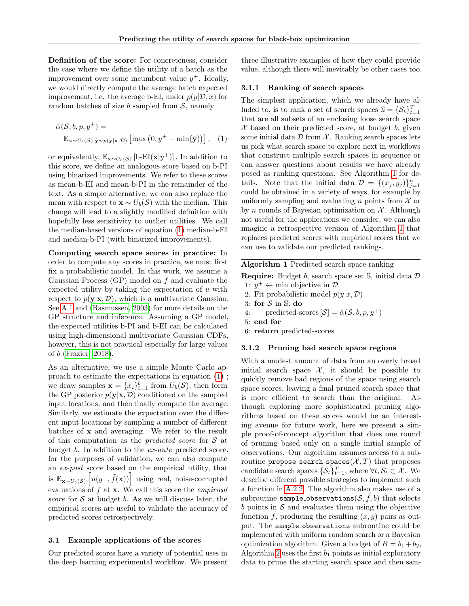Definition of the score: For concreteness, consider the case where we define the utility of a batch as the improvement over some incumbent value  $y^+$ . Ideally, we would directly compute the average batch expected improvement, i.e. the average b-EI, under  $p(y|\mathcal{D}, x)$  for random batches of size b sampled from  $S$ , namely

$$
\hat{\alpha}(\mathcal{S}, b, p, y^+) =
$$
  

$$
\mathbb{E}_{\mathbf{x} \sim U_b(\mathcal{S}), \hat{\mathbf{y}} \sim p(\mathbf{y}|\mathbf{x}, \mathcal{D})} \left[ \max\left(0, y^+ - \min(\hat{\mathbf{y}})\right) \right], (1)
$$

or equivalently,  $\mathbb{E}_{\mathbf{x} \sim U_b(\mathcal{S})}$  [b-EI( $\mathbf{x}|y^+$ )]. In addition to this score, we define an analogous score based on b-PI using binarized improvements. We refer to these scores as mean-b-EI and mean-b-PI in the remainder of the text. As a simple alternative, we can also replace the mean with respect to  $\mathbf{x} \sim U_b(\mathcal{S})$  with the median. This change will lead to a slightly modified definition with hopefully less sensitivity to outlier utilities. We call the median-based versions of equation [\(1\)](#page-3-0) median-b-EI and median-b-PI (with binarized improvements).

Computing search space scores in practice: In order to compute any scores in practice, we must first fix a probabilistic model. In this work, we assume a Gaussian Process (GP) model on f and evaluate the expected utility by taking the expectation of  $u$  with respect to  $p(\mathbf{y}|\mathbf{x}, \mathcal{D})$ , which is a multivariate Gaussian. See [A.1](#page-11-0) and [\(Rasmussen, 2003\)](#page-10-14) for more details on the GP structure and inference. Assuming a GP model, the expected utilities b-PI and b-EI can be calculated using high-dimensional multivariate Gaussian CDFs, however, this is not practical especially for large values of b [\(Frazier, 2018\)](#page-9-16).

As an alternative, we use a simple Monte Carlo approach to estimate the expectations in equation [\(1\)](#page-3-0) ; we draw samples  $\mathbf{x} = \{x_i\}_{i=1}^b$  from  $U_b(\mathcal{S})$ , then form the GP posterior  $p(\mathbf{y}|\mathbf{x}, \mathcal{D})$  conditioned on the sampled input locations, and then finally compute the average. Similarly, we estimate the expectation over the different input locations by sampling a number of different batches of x and averaging. We refer to the result of this computation as the *predicted score* for  $S$  at budget b. In addition to the ex-ante predicted score, for the purposes of validation, we can also compute an ex-post score based on the empirical utility, that is  $\mathbb{E}_{\mathbf{x} \sim U_b(\mathcal{S})}\left[u(y^+, \tilde{f}(\mathbf{x}))\right]$  using real, noise-corrupted evaluations of  $f$  at  $x$ . We call this score the *empirical* score for  $S$  at budget b. As we will discuss later, the empirical scores are useful to validate the accuracy of predicted scores retrospectively.

#### <span id="page-3-2"></span>3.1 Example applications of the scores

Our predicted scores have a variety of potential uses in the deep learning experimental workflow. We present three illustrative examples of how they could provide value, although there will inevitably be other cases too.

#### 3.1.1 Ranking of search spaces

<span id="page-3-0"></span>The simplest application, which we already have alluded to, is to rank a set of search spaces  $\mathbb{S} = {\mathcal{S}_t}_{t=1}^T$ that are all subsets of an enclosing loose search space  $X$  based on their predicted score, at budget  $b$ , given some initial data  $\mathcal D$  from  $\mathcal X$ . Ranking search spaces lets us pick what search space to explore next in workflows that construct multiple search spaces in sequence or can answer questions about results we have already posed as ranking questions. See Algorithm [1](#page-3-1) for details. Note that the initial data  $\mathcal{D} = \{(x_j, y_j)\}_{j=1}^n$ could be obtained in a variety of ways, for example by uniformly sampling and evaluating n points from  $\mathcal X$  or by n rounds of Bayesian optimization on  $X$ . Although not useful for the applications we consider, we can also imagine a retrospective version of Algorithm [1](#page-3-1) that replaces predicted scores with empirical scores that we can use to validate our predicted rankings.

<span id="page-3-1"></span>

|                                                    | <b>Algorithm 1</b> Predicted search space ranking                                    |
|----------------------------------------------------|--------------------------------------------------------------------------------------|
|                                                    | <b>Require:</b> Budget b, search space set $\mathbb{S}$ , initial data $\mathcal{D}$ |
| 1: $y^+ \leftarrow$ min objective in $\mathcal{D}$ |                                                                                      |
| 2: Fit probabilistic model $p(y x, \mathcal{D})$   |                                                                                      |
| 3: for $S$ in $\mathbb{S}$ : do                    |                                                                                      |
| 4:                                                 | predicted-scores $[\mathcal{S}] = \hat{\alpha}(\mathcal{S}, b, p, y^+)$              |
| $5:$ end for                                       |                                                                                      |
| 6: return predicted-scores                         |                                                                                      |
| 3.1.2                                              | Pruning bad search space regions                                                     |

With a modest amount of data from an overly broad initial search space  $\mathcal{X}$ , it should be possible to quickly remove bad regions of the space using search space scores, leaving a final pruned search space that is more efficient to search than the original. Although exploring more sophisticated pruning algorithms based on these scores would be an interesting avenue for future work, here we present a simple proof-of-concept algorithm that does one round of pruning based only on a single initial sample of observations. Our algorithm assumes access to a subroutine propose\_search\_spaces( $\mathcal{X}, T$ ) that proposes candidate search spaces  $\{\mathcal{S}_t\}_{t=1}^T$ , where  $\forall t, \mathcal{S}_t \subset \mathcal{X}$ . We describe different possible strategies to implement such a function in [A.2.2.](#page-11-1) The algorithm also makes use of a subroutine sample\_observations $(\mathcal{S}, \tilde{f}, b)$  that selects  $b$  points in  $S$  and evaluates them using the objective function  $\hat{f}$ , producing the resulting  $(x, y)$  pairs as output. The sample observations subroutine could be implemented with uniform random search or a Bayesian optimization algorithm. Given a budget of  $B = b_1 + b_2$ , Algorithm [2](#page-4-0) uses the first  $b_1$  points as initial exploratory data to prune the starting search space and then sam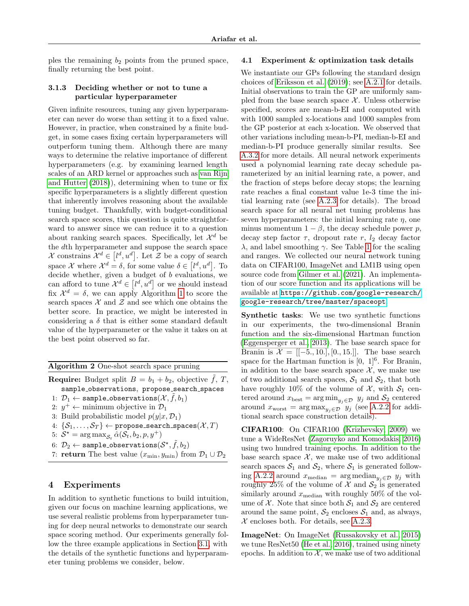ples the remaining  $b_2$  points from the pruned space, finally returning the best point.

## 3.1.3 Deciding whether or not to tune a particular hyperparameter

Given infinite resources, tuning any given hyperparameter can never do worse than setting it to a fixed value. However, in practice, when constrained by a finite budget, in some cases fixing certain hyperparameters will outperform tuning them. Although there are many ways to determine the relative importance of different hyperparameters (e.g. by examining learned length scales of an ARD kernel or approaches such as [van Rijn](#page-10-15) [and Hutter](#page-10-15) [\(2018\)](#page-10-15)), determining when to tune or fix specific hyperparameters is a slightly different question that inherently involves reasoning about the available tuning budget. Thankfully, with budget-conditional search space scores, this question is quite straightforward to answer since we can reduce it to a question about ranking search spaces. Specifically, let  $\mathcal{X}^d$  be the dth hyperparameter and suppose the search space X constrains  $\mathcal{X}^d \in [l^d, u^d]$ . Let Z be a copy of search space X where  $\mathcal{X}^d = \delta$ , for some value  $\delta \in [l^d, u^d]$ . To decide whether, given a budget of  $b$  evaluations, we can afford to tune  $\mathcal{X}^d \in [l^d, u^d]$  or we should instead fix  $\mathcal{X}^d = \delta$ , we can apply Algorithm [1](#page-3-1) to score the search spaces  $X$  and  $Z$  and see which one obtains the better score. In practice, we might be interested in considering a  $\delta$  that is either some standard default value of the hyperparameter or the value it takes on at the best point observed so far.

<span id="page-4-0"></span>Algorithm 2 One-shot search space pruning

**Require:** Budget split  $B = b_1 + b_2$ , objective  $\tilde{f}$ , T, sample\_observations, propose\_search\_spaces 1:  $\mathcal{D}_1 \leftarrow$  sample\_observations $(\mathcal{X}, \tilde{f}, b_1)$ 

- 2:  $y^+ \leftarrow$  minimum objective in  $\mathcal{D}_1$
- 3: Build probabilistic model  $p(y|x, \mathcal{D}_1)$
- 
- 4:  $\{\mathcal{S}_1,\ldots,\mathcal{S}_T\} \leftarrow \texttt{propose\_search\_spaces}(\mathcal{X},T)$
- 5:  $S^* = \arg \max_{S_t} \hat{\alpha}(S_t, b_2, p, y^+)$
- 6:  $\mathcal{D}_2 \leftarrow$  sample\_observations $(\mathcal{S}^\star, \tilde{f}, b_2)$
- <span id="page-4-1"></span>7: **return** The best value  $(x_{\min}, y_{\min})$  from  $\mathcal{D}_1 \cup \mathcal{D}_2$

## 4 Experiments

<span id="page-4-2"></span>In addition to synthetic functions to build intuition, given our focus on machine learning applications, we use several realistic problems from hyperparameter tuning for deep neural networks to demonstrate our search space scoring method. Our experiments generally follow the three example applications in Section [3.1,](#page-3-2) with the details of the synthetic functions and hyperparameter tuning problems we consider, below.

#### 4.1 Experiment & optimization task details

We instantiate our GPs following the standard design choices of [Eriksson et al.](#page-9-8) [\(2019\)](#page-9-8); see [A.2.1](#page-11-2) for details. Initial observations to train the GP are uniformly sampled from the base search space  $\mathcal{X}$ . Unless otherwise specified, scores are mean-b-EI and computed with with 1000 sampled x-locations and 1000 samples from the GP posterior at each x-location. We observed that other variations including mean-b-PI, median-b-EI and median-b-PI produce generally similar results. See [A.3.2](#page-14-0) for more details. All neural network experiments used a polynomial learning rate decay schedule parameterized by an initial learning rate, a power, and the fraction of steps before decay stops; the learning rate reaches a final constant value 1e-3 time the initial learning rate (see [A.2.3](#page-12-0) for details). The broad search space for all neural net tuning problems has seven hyperparameters: the initial learning rate  $\eta$ , one minus momentum  $1 - \beta$ , the decay schedule power p, decay step factor  $\tau$ , dropout rate r,  $l_2$  decay factor λ, and label smoothing γ. See Table [1](#page-12-1) for the scaling and ranges. We collected our neural network tuning data on CIFAR100, ImageNet and LM1B using open source code from [Gilmer et al.](#page-9-17) [\(2021\)](#page-9-17). An implementation of our score function and its applications will be available at [https://github.com/google-research/](https://github.com/google-research/google-research/tree/master/spaceopt) [google-research/tree/master/spaceopt](https://github.com/google-research/google-research/tree/master/spaceopt).

Synthetic tasks: We use two synthetic functions in our experiments, the two-dimensional Branin function and the six-dimensional Hartman function [\(Eggensperger et al., 2013\)](#page-9-18). The base search space for Branin is  $\mathcal{X} = [[-5., 10.], [0., 15.]]$ . The base search space for the Hartman function is  $[0, 1]$ <sup>6</sup>. For Branin, in addition to the base search space  $X$ , we make use of two additional search spaces,  $S_1$  and  $S_2$ , that both have roughly 10% of the volume of  $\mathcal{X}$ , with  $\mathcal{S}_1$  centered around  $x_{\text{best}} = \arg \min_{y_j \in \mathcal{D}} y_j$  and  $\mathcal{S}_2$  centered around  $x_{\text{worst}} = \arg \max_{y_j \in \mathcal{D}} y_j$  (see [A.2.2](#page-11-1) for additional search space construction details).

CIFAR100: On CIFAR100 [\(Krizhevsky, 2009\)](#page-9-19) we tune a WideResNet [\(Zagoruyko and Komodakis, 2016\)](#page-10-16) using two hundred training epochs. In addition to the base search space  $X$ , we make use of two additional search spaces  $S_1$  and  $S_2$ , where  $S_1$  is generated follow-ing [A.2.2](#page-11-1) around  $x_{\text{median}} = \arg \text{median}_{y_i \in \mathcal{D}} y_j$  with roughly 25% of the volume of  $\mathcal X$  and  $\mathcal S_2$  is generated similarly around  $x_{\text{median}}$  with roughly 50% of the volume of X. Note that since both  $S_1$  and  $S_2$  are centered around the same point,  $S_2$  encloses  $S_1$  and, as always,  $\mathcal X$  encloses both. For details, see [A.2.3.](#page-12-0)

ImageNet: On ImageNet [\(Russakovsky et al., 2015\)](#page-10-17) we tune ResNet50 [\(He et al., 2016\)](#page-9-20), trained using ninety epochs. In addition to  $\mathcal{X}$ , we make use of two additional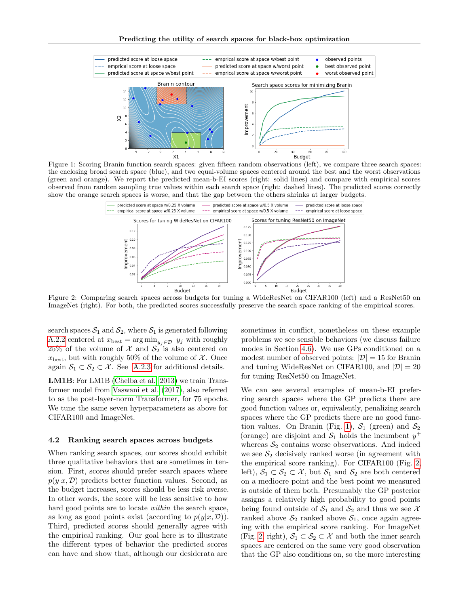Predicting the utility of search spaces for black-box optimization

<span id="page-5-0"></span>

<span id="page-5-1"></span>Figure 1: Scoring Branin function search spaces: given fifteen random observations (left), we compare three search spaces: the enclosing broad search space (blue), and two equal-volume spaces centered around the best and the worst observations (green and orange). We report the predicted mean-b-EI scores (right: solid lines) and compare with empirical scores observed from random sampling true values within each search space (right: dashed lines). The predicted scores correctly show the orange search spaces is worse, and that the gap between the others shrinks at larger budgets.



Figure 2: Comparing search spaces across budgets for tuning a WideResNet on CIFAR100 (left) and a ResNet50 on ImageNet (right). For both, the predicted scores successfully preserve the search space ranking of the empirical scores.

search spaces  $S_1$  and  $S_2$ , where  $S_1$  is generated following [A.2.2](#page-11-1) centered at  $x_{\text{best}} = \arg \min_{y_j \in \mathcal{D}} y_j$  with roughly 25% of the volume of  $\mathcal X$  and  $\mathcal S_2$  is also centered on  $x_{best}$ , but with roughly 50% of the volume of X. Once again  $S_1 \subset S_2 \subset \mathcal{X}$ . See [A.2.3](#page-12-0) for additional details.

LM1B: For LM1B [\(Chelba et al., 2013\)](#page-9-21) we train Transformer model from [Vaswani et al.](#page-10-18) [\(2017\)](#page-10-18), also referred to as the post-layer-norm Transformer, for 75 epochs. We tune the same seven hyperparameters as above for CIFAR100 and ImageNet.

#### <span id="page-5-2"></span>4.2 Ranking search spaces across budgets

When ranking search spaces, our scores should exhibit three qualitative behaviors that are sometimes in tension. First, scores should prefer search spaces where  $p(y|x, \mathcal{D})$  predicts better function values. Second, as the budget increases, scores should be less risk averse. In other words, the score will be less sensitive to how hard good points are to locate *within* the search space, as long as good points exist (according to  $p(y|x, \mathcal{D})$ ). Third, predicted scores should generally agree with the empirical ranking. Our goal here is to illustrate the different types of behavior the predicted scores can have and show that, although our desiderata are sometimes in conflict, nonetheless on these example problems we see sensible behaviors (we discuss failure modes in Section [4.6\)](#page-7-0). We use GPs conditioned on a modest number of observed points:  $|\mathcal{D}| = 15$  for Branin and tuning WideResNet on CIFAR100, and  $|\mathcal{D}| = 20$ for tuning ResNet50 on ImageNet.

We can see several examples of mean-b-EI preferring search spaces where the GP predicts there are good function values or, equivalently, penalizing search spaces where the GP predicts there are no good func-tion values. On Branin (Fig. [1\)](#page-5-0),  $S_1$  (green) and  $S_2$ (orange) are disjoint and  $S_1$  holds the incumbent  $y^+$ whereas  $S_2$  contains worse observations. And indeed we see  $S_2$  decisively ranked worse (in agreement with the empirical score ranking). For CIFAR100 (Fig. [2,](#page-5-1) left),  $S_1 \subset S_2 \subset \mathcal{X}$ , but  $S_1$  and  $S_2$  are both centered on a mediocre point and the best point we measured is outside of them both. Presumably the GP posterior assigns a relatively high probability to good points being found outside of  $S_1$  and  $S_2$  and thus we see X ranked above  $S_2$  ranked above  $S_1$ , once again agreeing with the empirical score ranking. For ImageNet (Fig. [2,](#page-5-1) right),  $S_1 \subset S_2 \subset \mathcal{X}$  and both the inner search spaces are centered on the same very good observation that the GP also conditions on, so the more interesting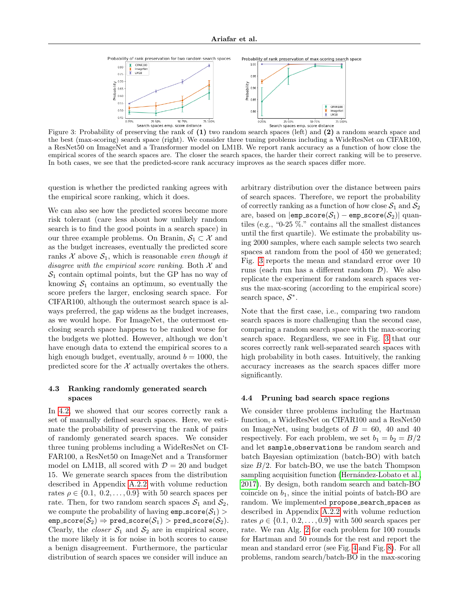<span id="page-6-0"></span>

Figure 3: Probability of preserving the rank of (1) two random search spaces (left) and (2) a random search space and the best (max-scoring) search space (right). We consider three tuning problems including a WideResNet on CIFAR100, a ResNet50 on ImageNet and a Transformer model on LM1B. We report rank accuracy as a function of how close the empirical scores of the search spaces are. The closer the search spaces, the harder their correct ranking will be to preserve. In both cases, we see that the predicted-score rank accuracy improves as the search spaces differ more.

question is whether the predicted ranking agrees with the empirical score ranking, which it does.

We can also see how the predicted scores become more risk tolerant (care less about how unlikely random search is to find the good points in a search space) in our three example problems. On Branin,  $S_1 \subset \mathcal{X}$  and as the budget increases, eventually the predicted score ranks  $X$  above  $S_1$ , which is reasonable even though it disagree with the empirical score ranking. Both  $\mathcal X$  and  $S_1$  contain optimal points, but the GP has no way of knowing  $S_1$  contains an optimum, so eventually the score prefers the larger, enclosing search space. For CIFAR100, although the outermost search space is always preferred, the gap widens as the budget increases, as we would hope. For ImageNet, the outermost enclosing search space happens to be ranked worse for the budgets we plotted. However, although we don't have enough data to extend the empirical scores to a high enough budget, eventually, around  $b = 1000$ , the predicted score for the  $X$  actually overtakes the others.

### 4.3 Ranking randomly generated search spaces

In [4.2,](#page-5-2) we showed that our scores correctly rank a set of manually defined search spaces. Here, we estimate the probability of preserving the rank of pairs of randomly generated search spaces. We consider three tuning problems including a WideResNet on CI-FAR100, a ResNet50 on ImageNet and a Transformer model on LM1B, all scored with  $\mathcal{D} = 20$  and budget 15. We generate search spaces from the distribution described in Appendix [A.2.2](#page-11-1) with volume reduction rates  $\rho \in \{0.1, 0.2, \ldots, 0.9\}$  with 50 search spaces per rate. Then, for two random search spaces  $S_1$  and  $S_2$ , we compute the probability of having  $emp\_score(S_1)$  $\texttt{emp\_score}(\mathcal{S}_2) \Rightarrow \texttt{pred\_score}(\mathcal{S}_1) > \texttt{pred\_score}(\mathcal{S}_2).$ Clearly, the *closer*  $S_1$  and  $S_2$  are in empirical score, the more likely it is for noise in both scores to cause a benign disagreement. Furthermore, the particular distribution of search spaces we consider will induce an arbitrary distribution over the distance between pairs of search spaces. Therefore, we report the probability of correctly ranking as a function of how close  $S_1$  and  $S_2$ are, based on  $|emp\_score(\mathcal{S}_1) - emp\_score(\mathcal{S}_2)|$  quantiles (e.g., "0-25 %." contains all the smallest distances until the first quartile). We estimate the probability using 2000 samples, where each sample selects two search spaces at random from the pool of 450 we generated; Fig. [3](#page-6-0) reports the mean and standard error over 10 runs (each run has a different random  $\mathcal{D}$ ). We also replicate the experiment for random search spaces versus the max-scoring (according to the empirical score) search space,  $S^*$ .

Note that the first case, i.e., comparing two random search spaces is more challenging than the second case, comparing a random search space with the max-scoring search space. Regardless, we see in Fig. [3](#page-6-0) that our scores correctly rank well-separated search spaces with high probability in both cases. Intuitively, the ranking accuracy increases as the search spaces differ more significantly.

## <span id="page-6-1"></span>4.4 Pruning bad search space regions

We consider three problems including the Hartman function, a WideResNet on CIFAR100 and a ResNet50 on ImageNet, using budgets of  $B = 60$ , 40 and 40 respectively. For each problem, we set  $b_1 = b_2 = B/2$ and let sample observations be random search and batch Bayesian optimization (batch-BO) with batch size  $B/2$ . For batch-BO, we use the batch Thompson sampling acquisition function (Hernández-Lobato et al., [2017\)](#page-9-22). By design, both random search and batch-BO coincide on  $b_1$ , since the initial points of batch-BO are random. We implemented propose\_search\_spaces as described in Appendix [A.2.2](#page-11-1) with volume reduction rates  $\rho \in \{0.1, 0.2, \ldots, 0.9\}$  with 500 search spaces per rate. We ran Alg. [2](#page-4-0) for each problem for 100 rounds for Hartman and 50 rounds for the rest and report the mean and standard error (see Fig. [4](#page-7-1) and Fig. [8\)](#page-13-0). For all problems, random search/batch-BO in the max-scoring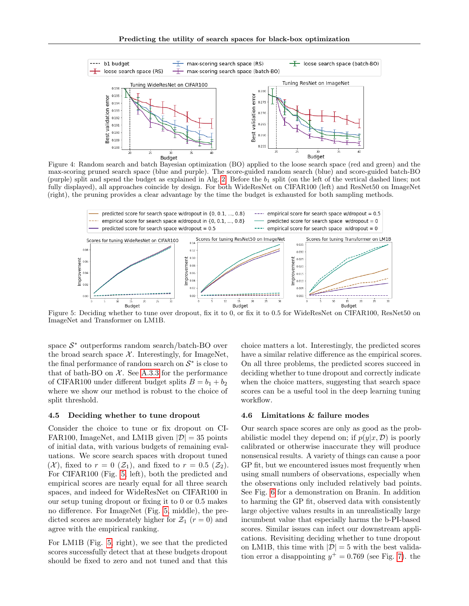<span id="page-7-1"></span>

Figure 4: Random search and batch Bayesian optimization (BO) applied to the loose search space (red and green) and the max-scoring pruned search space (blue and purple). The score-guided random search (blue) and score-guided batch-BO (purple) split and spend the budget as explained in Alg. [2.](#page-4-0) Before the  $b_1$  split (on the left of the vertical dashed lines; not fully displayed), all approaches coincide by design. For both WideResNet on CIFAR100 (left) and ResNet50 on ImageNet (right), the pruning provides a clear advantage by the time the budget is exhausted for both sampling methods.

<span id="page-7-2"></span>

Figure 5: Deciding whether to tune over dropout, fix it to 0, or fix it to 0.5 for WideResNet on CIFAR100, ResNet50 on ImageNet and Transformer on LM1B.

space  $S^*$  outperforms random search/batch-BO over the broad search space  $\mathcal{X}$ . Interestingly, for ImageNet, the final performance of random search on  $S^*$  is close to that of bath-BO on  $\mathcal{X}$ . See [A.3.3](#page-14-1) for the performance of CIFAR100 under different budget splits  $B = b_1 + b_2$ where we show our method is robust to the choice of split threshold.

#### <span id="page-7-3"></span>4.5 Deciding whether to tune dropout

Consider the choice to tune or fix dropout on CI-FAR100, ImageNet, and LM1B given  $|\mathcal{D}| = 35$  points of initial data, with various budgets of remaining evaluations. We score search spaces with dropout tuned  $(\mathcal{X})$ , fixed to  $r = 0$   $(\mathcal{Z}_1)$ , and fixed to  $r = 0.5$   $(\mathcal{Z}_2)$ . For CIFAR100 (Fig. [5,](#page-7-2) left), both the predicted and empirical scores are nearly equal for all three search spaces, and indeed for WideResNet on CIFAR100 in our setup tuning dropout or fixing it to 0 or 0.5 makes no difference. For ImageNet (Fig. [5,](#page-7-2) middle), the predicted scores are moderately higher for  $\mathcal{Z}_1$  ( $r = 0$ ) and agree with the empirical ranking.

For LM1B (Fig. [5,](#page-7-2) right), we see that the predicted scores successfully detect that at these budgets dropout should be fixed to zero and not tuned and that this choice matters a lot. Interestingly, the predicted scores have a similar relative difference as the empirical scores. On all three problems, the predicted scores succeed in deciding whether to tune dropout and correctly indicate when the choice matters, suggesting that search space scores can be a useful tool in the deep learning tuning workflow.

#### <span id="page-7-0"></span>4.6 Limitations & failure modes

Our search space scores are only as good as the probabilistic model they depend on; if  $p(y|x, \mathcal{D})$  is poorly calibrated or otherwise inaccurate they will produce nonsensical results. A variety of things can cause a poor GP fit, but we encountered issues most frequently when using small numbers of observations, especially when the observations only included relatively bad points. See Fig. [6](#page-8-0) for a demonstration on Branin. In addition to harming the GP fit, observed data with consistently large objective values results in an unrealistically large incumbent value that especially harms the b-PI-based scores. Similar issues can infect our downstream applications. Revisiting deciding whether to tune dropout on LM1B, this time with  $|\mathcal{D}| = 5$  with the best validation error a disappointing  $y^+ = 0.769$  (see Fig. [7\)](#page-8-1). the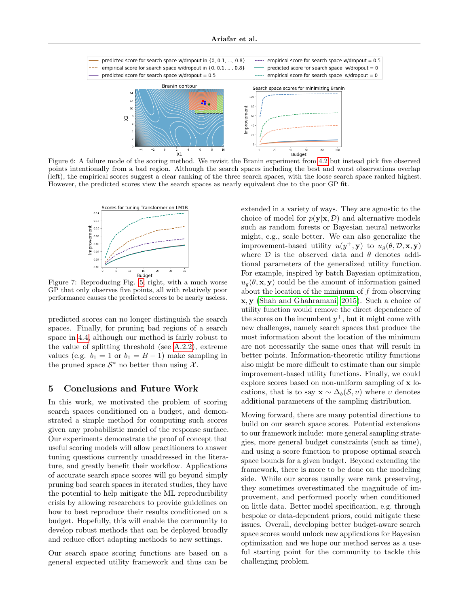<span id="page-8-0"></span>

Figure 6: A failure mode of the scoring method. We revisit the Branin experiment from [4.2](#page-5-2) but instead pick five observed points intentionally from a bad region. Although the search spaces including the best and worst observations overlap (left), the empirical scores suggest a clear ranking of the three search spaces, with the loose search space ranked highest. However, the predicted scores view the search spaces as nearly equivalent due to the poor GP fit.

<span id="page-8-1"></span>

Figure 7: Reproducing Fig. [5,](#page-7-2) right, with a much worse GP that only observes five points, all with relatively poor performance causes the predicted scores to be nearly useless.

predicted scores can no longer distinguish the search spaces. Finally, for pruning bad regions of a search space in [4.4,](#page-6-1) although our method is fairly robust to the value of splitting threshold (see [A.2.2\)](#page-11-1), extreme values (e.g.  $b_1 = 1$  or  $b_1 = B - 1$ ) make sampling in the pruned space  $S^*$  no better than using  $\mathcal{X}$ .

## 5 Conclusions and Future Work

In this work, we motivated the problem of scoring search spaces conditioned on a budget, and demonstrated a simple method for computing such scores given any probabilistic model of the response surface. Our experiments demonstrate the proof of concept that useful scoring models will allow practitioners to answer tuning questions currently unaddressed in the literature, and greatly benefit their workflow. Applications of accurate search space scores will go beyond simply pruning bad search spaces in iterated studies, they have the potential to help mitigate the ML reproducibility crisis by allowing researchers to provide guidelines on how to best reproduce their results conditioned on a budget. Hopefully, this will enable the community to develop robust methods that can be deployed broadly and reduce effort adapting methods to new settings.

Our search space scoring functions are based on a general expected utility framework and thus can be extended in a variety of ways. They are agnostic to the choice of model for  $p(\mathbf{y}|\mathbf{x}, \mathcal{D})$  and alternative models such as random forests or Bayesian neural networks might, e.g., scale better. We can also generalize the improvement-based utility  $u(y^+,\mathbf{y})$  to  $u_g(\theta,\mathcal{D},\mathbf{x},\mathbf{y})$ where  $\mathcal D$  is the observed data and  $\theta$  denotes additional parameters of the generalized utility function. For example, inspired by batch Bayesian optimization,  $u_q(\theta, \mathbf{x}, \mathbf{y})$  could be the amount of information gained about the location of the minimum of f from observing x, y [\(Shah and Ghahramani, 2015\)](#page-10-19). Such a choice of utility function would remove the direct dependence of the scores on the incumbent  $y^+$ , but it might come with new challenges, namely search spaces that produce the most information about the location of the minimum are not necessarily the same ones that will result in better points. Information-theoretic utility functions also might be more difficult to estimate than our simple improvement-based utility functions. Finally, we could explore scores based on non-uniform sampling of x locations, that is to say  $\mathbf{x} \sim \Delta_b(\mathcal{S}, v)$  where v denotes additional parameters of the sampling distribution.

Moving forward, there are many potential directions to build on our search space scores. Potential extensions to our framework include: more general sampling strategies, more general budget constraints (such as time), and using a score function to propose optimal search space bounds for a given budget. Beyond extending the framework, there is more to be done on the modeling side. While our scores usually were rank preserving, they sometimes overestimated the magnitude of improvement, and performed poorly when conditioned on little data. Better model specification, e.g. through bespoke or data-dependent priors, could mitigate these issues. Overall, developing better budget-aware search space scores would unlock new applications for Bayesian optimization and we hope our method serves as a useful starting point for the community to tackle this challenging problem.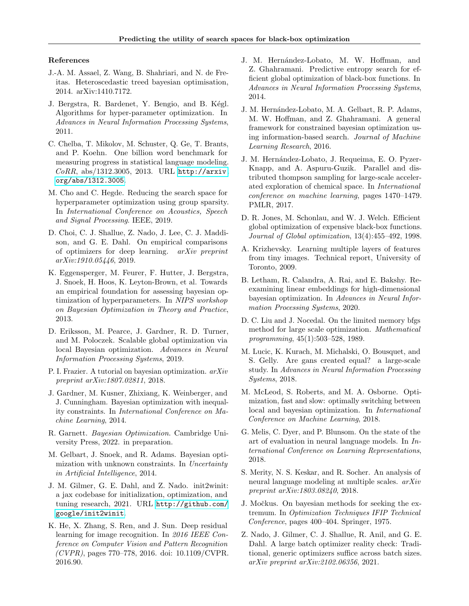#### References

- <span id="page-9-10"></span>J.-A. M. Assael, Z. Wang, B. Shahriari, and N. de Freitas. Heteroscedastic treed bayesian optimisation, 2014. arXiv:1410.7172.
- <span id="page-9-6"></span>J. Bergstra, R. Bardenet, Y. Bengio, and B. Kégl. Algorithms for hyper-parameter optimization. In Advances in Neural Information Processing Systems, 2011.
- <span id="page-9-21"></span>C. Chelba, T. Mikolov, M. Schuster, Q. Ge, T. Brants, and P. Koehn. One billion word benchmark for measuring progress in statistical language modeling. CoRR, abs/1312.3005, 2013. URL [http://arxiv.](http://arxiv.org/abs/1312.3005) [org/abs/1312.3005](http://arxiv.org/abs/1312.3005).
- <span id="page-9-11"></span>M. Cho and C. Hegde. Reducing the search space for hyperparameter optimization using group sparsity. In International Conference on Acoustics, Speech and Signal Processing. IEEE, 2019.
- <span id="page-9-4"></span>D. Choi, C. J. Shallue, Z. Nado, J. Lee, C. J. Maddison, and G. E. Dahl. On empirical comparisons of optimizers for deep learning. arXiv preprint arXiv:1910.05446, 2019.
- <span id="page-9-18"></span>K. Eggensperger, M. Feurer, F. Hutter, J. Bergstra, J. Snoek, H. Hoos, K. Leyton-Brown, et al. Towards an empirical foundation for assessing bayesian optimization of hyperparameters. In NIPS workshop on Bayesian Optimization in Theory and Practice, 2013.
- <span id="page-9-8"></span>D. Eriksson, M. Pearce, J. Gardner, R. D. Turner, and M. Poloczek. Scalable global optimization via local Bayesian optimization. Advances in Neural Information Processing Systems, 2019.
- <span id="page-9-16"></span>P. I. Frazier. A tutorial on bayesian optimization. arXiv preprint arXiv:1807.02811, 2018.
- <span id="page-9-14"></span>J. Gardner, M. Kusner, Zhixiang, K. Weinberger, and J. Cunningham. Bayesian optimization with inequality constraints. In International Conference on Machine Learning, 2014.
- <span id="page-9-5"></span>R. Garnett. Bayesian Optimization. Cambridge University Press, 2022. in preparation.
- <span id="page-9-12"></span>M. Gelbart, J. Snoek, and R. Adams. Bayesian optimization with unknown constraints. In Uncertainty in Artificial Intelligence, 2014.
- <span id="page-9-17"></span>J. M. Gilmer, G. E. Dahl, and Z. Nado. init2winit: a jax codebase for initialization, optimization, and tuning research, 2021. URL [http://github.com/](http://github.com/google/init2winit) [google/init2winit](http://github.com/google/init2winit).
- <span id="page-9-20"></span>K. He, X. Zhang, S. Ren, and J. Sun. Deep residual learning for image recognition. In 2016 IEEE Conference on Computer Vision and Pattern Recognition  $(CVPR)$ , pages 770–778, 2016. doi: 10.1109/CVPR. 2016.90.
- <span id="page-9-13"></span>J. M. Hernández-Lobato, M. W. Hoffman, and Z. Ghahramani. Predictive entropy search for efficient global optimization of black-box functions. In Advances in Neural Information Processing Systems, 2014.
- <span id="page-9-15"></span>J. M. Hernández-Lobato, M. A. Gelbart, R. P. Adams, M. W. Hoffman, and Z. Ghahramani. A general framework for constrained bayesian optimization using information-based search. Journal of Machine Learning Research, 2016.
- <span id="page-9-22"></span>J. M. Hernández-Lobato, J. Requeima, E. O. Pyzer-Knapp, and A. Aspuru-Guzik. Parallel and distributed thompson sampling for large-scale accelerated exploration of chemical space. In International conference on machine learning, pages 1470–1479. PMLR, 2017.
- <span id="page-9-24"></span>D. R. Jones, M. Schonlau, and W. J. Welch. Efficient global optimization of expensive black-box functions. Journal of Global optimization, 13(4):455–492, 1998.
- <span id="page-9-19"></span>A. Krizhevsky. Learning multiple layers of features from tiny images. Technical report, University of Toronto, 2009.
- <span id="page-9-7"></span>B. Letham, R. Calandra, A. Rai, and E. Bakshy. Reexamining linear embeddings for high-dimensional bayesian optimization. In Advances in Neural Information Processing Systems, 2020.
- <span id="page-9-25"></span>D. C. Liu and J. Nocedal. On the limited memory bfgs method for large scale optimization. Mathematical programming, 45(1):503–528, 1989.
- <span id="page-9-2"></span>M. Lucic, K. Kurach, M. Michalski, O. Bousquet, and S. Gelly. Are gans created equal? a large-scale study. In Advances in Neural Information Processing Systems, 2018.
- <span id="page-9-9"></span>M. McLeod, S. Roberts, and M. A. Osborne. Optimization, fast and slow: optimally switching between local and bayesian optimization. In International Conference on Machine Learning, 2018.
- <span id="page-9-0"></span>G. Melis, C. Dyer, and P. Blunsom. On the state of the art of evaluation in neural language models. In International Conference on Learning Representations, 2018.
- <span id="page-9-1"></span>S. Merity, N. S. Keskar, and R. Socher. An analysis of neural language modeling at multiple scales. arXiv preprint arXiv:1803.08240, 2018.
- <span id="page-9-23"></span>J. Močkus. On bayesian methods for seeking the extremum. In Optimization Techniques IFIP Technical Conference, pages 400–404. Springer, 1975.
- <span id="page-9-3"></span>Z. Nado, J. Gilmer, C. J. Shallue, R. Anil, and G. E. Dahl. A large batch optimizer reality check: Traditional, generic optimizers suffice across batch sizes. arXiv preprint arXiv:2102.06356, 2021.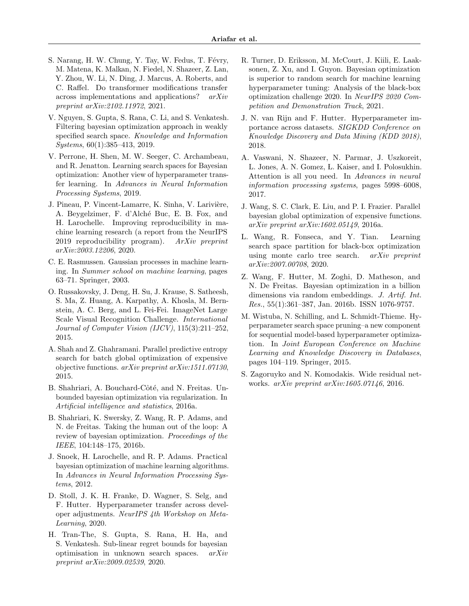- <span id="page-10-0"></span>S. Narang, H. W. Chung, Y. Tay, W. Fedus, T. Févry, M. Matena, K. Malkan, N. Fiedel, N. Shazeer, Z. Lan, Y. Zhou, W. Li, N. Ding, J. Marcus, A. Roberts, and C. Raffel. Do transformer modifications transfer across implementations and applications? arXiv preprint arXiv:2102.11972, 2021.
- <span id="page-10-9"></span>V. Nguyen, S. Gupta, S. Rana, C. Li, and S. Venkatesh. Filtering bayesian optimization approach in weakly specified search space. Knowledge and Information Systems, 60(1):385–413, 2019.
- <span id="page-10-10"></span>V. Perrone, H. Shen, M. W. Seeger, C. Archambeau, and R. Jenatton. Learning search spaces for Bayesian optimization: Another view of hyperparameter transfer learning. In Advances in Neural Information Processing Systems, 2019.
- <span id="page-10-1"></span>J. Pineau, P. Vincent-Lamarre, K. Sinha, V. Larivière, A. Beygelzimer, F. d'Alché Buc, E. B. Fox, and H. Larochelle. Improving reproducibility in machine learning research (a report from the NeurIPS 2019 reproducibility program).  $ArXiv$  preprint arXiv:2003.12206, 2020.
- <span id="page-10-14"></span>C. E. Rasmussen. Gaussian processes in machine learning. In Summer school on machine learning, pages 63–71. Springer, 2003.
- <span id="page-10-17"></span>O. Russakovsky, J. Deng, H. Su, J. Krause, S. Satheesh, S. Ma, Z. Huang, A. Karpathy, A. Khosla, M. Bernstein, A. C. Berg, and L. Fei-Fei. ImageNet Large Scale Visual Recognition Challenge. International Journal of Computer Vision (IJCV), 115(3):211–252, 2015.
- <span id="page-10-19"></span>A. Shah and Z. Ghahramani. Parallel predictive entropy search for batch global optimization of expensive objective functions. arXiv preprint arXiv:1511.07130, 2015.
- <span id="page-10-8"></span>B. Shahriari, A. Bouchard-Côté, and N. Freitas. Unbounded bayesian optimization via regularization. In Artificial intelligence and statistics, 2016a.
- <span id="page-10-2"></span>B. Shahriari, K. Swersky, Z. Wang, R. P. Adams, and N. de Freitas. Taking the human out of the loop: A review of bayesian optimization. Proceedings of the IEEE, 104:148–175, 2016b.
- <span id="page-10-3"></span>J. Snoek, H. Larochelle, and R. P. Adams. Practical bayesian optimization of machine learning algorithms. In Advances in Neural Information Processing Systems, 2012.
- <span id="page-10-12"></span>D. Stoll, J. K. H. Franke, D. Wagner, S. Selg, and F. Hutter. Hyperparameter transfer across developer adjustments. NeurIPS 4th Workshop on Meta-Learning, 2020.
- <span id="page-10-11"></span>H. Tran-The, S. Gupta, S. Rana, H. Ha, and S. Venkatesh. Sub-linear regret bounds for bayesian optimisation in unknown search spaces. arXiv preprint arXiv:2009.02539, 2020.
- <span id="page-10-4"></span>R. Turner, D. Eriksson, M. McCourt, J. Kiili, E. Laaksonen, Z. Xu, and I. Guyon. Bayesian optimization is superior to random search for machine learning hyperparameter tuning: Analysis of the black-box optimization challenge 2020. In NeurIPS 2020 Competition and Demonstration Track, 2021.
- <span id="page-10-15"></span>J. N. van Rijn and F. Hutter. Hyperparameter importance across datasets. SIGKDD Conference on Knowledge Discovery and Data Mining (KDD 2018), 2018.
- <span id="page-10-18"></span>A. Vaswani, N. Shazeer, N. Parmar, J. Uszkoreit, L. Jones, A. N. Gomez, L. Kaiser, and I. Polosukhin. Attention is all you need. In Advances in neural information processing systems, pages 5998–6008, 2017.
- <span id="page-10-13"></span>J. Wang, S. C. Clark, E. Liu, and P. I. Frazier. Parallel bayesian global optimization of expensive functions. arXiv preprint arXiv:1602.05149, 2016a.
- <span id="page-10-6"></span>L. Wang, R. Fonseca, and Y. Tian. Learning search space partition for black-box optimization using monte carlo tree search. arXiv preprint arXiv:2007.00708, 2020.
- <span id="page-10-5"></span>Z. Wang, F. Hutter, M. Zoghi, D. Matheson, and N. De Freitas. Bayesian optimization in a billion dimensions via random embeddings. J. Artif. Int. Res., 55(1):361–387, Jan. 2016b. ISSN 1076-9757.
- <span id="page-10-7"></span>M. Wistuba, N. Schilling, and L. Schmidt-Thieme. Hyperparameter search space pruning–a new component for sequential model-based hyperparameter optimization. In Joint European Conference on Machine Learning and Knowledge Discovery in Databases, pages 104–119. Springer, 2015.
- <span id="page-10-16"></span>S. Zagoruyko and N. Komodakis. Wide residual networks. arXiv preprint arXiv:1605.07146, 2016.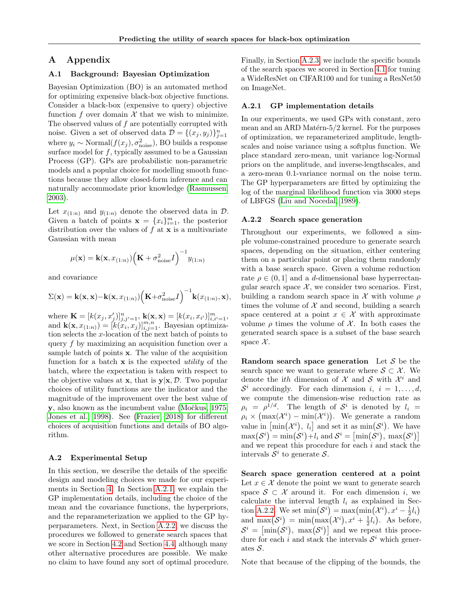## A Appendix

## <span id="page-11-0"></span>A.1 Background: Bayesian Optimization

Bayesian Optimization (BO) is an automated method for optimizing expensive black-box objective functions. Consider a black-box (expensive to query) objective function f over domain  $\mathcal X$  that we wish to minimize. The observed values of  $f$  are potentially corrupted with noise. Given a set of observed data  $\mathcal{D} = \{(x_j, y_j)\}_{j=1}^n$ where  $y_i \sim \text{Normal}(f(x_j), \sigma_{\text{noise}}^2)$ , BO builds a response surface model for  $f$ , typically assumed to be a Gaussian Process (GP). GPs are probabilistic non-parametric models and a popular choice for modelling smooth functions because they allow closed-form inference and can naturally accommodate prior knowledge [\(Rasmussen,](#page-10-14) [2003\)](#page-10-14).

Let  $x_{(1:n)}$  and  $y_{(1:n)}$  denote the observed data in  $\mathcal{D}$ . Given a batch of points  $\mathbf{x} = \{x_i\}_{i=1}^m$ , the posterior distribution over the values of  $f$  at  $x$  is a multivariate Gaussian with mean

$$
\mu(\mathbf{x}) = \mathbf{k}(\mathbf{x}, x_{(1:n)}) \Big(\mathbf{K} + \sigma_{\text{noise}}^2 I\Big)^{-1} y_{(1:n)}
$$

and covariance

$$
\Sigma(\mathbf{x}) = \mathbf{k}(\mathbf{x}, \mathbf{x}) - \mathbf{k}(\mathbf{x}, x_{(1:n)}) \Big(\mathbf{K} + \sigma_{\text{noise}}^2 I\Big)^{-1} \mathbf{k}(x_{(1:n)}, \mathbf{x}),
$$

where  $\mathbf{K} = [k(x_j, x'_j)]_{j,j'=1}^n$ ,  $\mathbf{k}(\mathbf{x}, \mathbf{x}) = [k(x_i, x_{i'})]_{i,i'=1}^m$ , and  $\mathbf{k}(\mathbf{x}, x_{(1:n)}) = [k(x_i, x_j)]_{i,j=1}^{m,n}$ . Bayesian optimization selects the x-location of the next batch of points to query f by maximizing an acquisition function over a sample batch of points  $x$ . The value of the acquisition function for a batch  $x$  is the expected *utility* of the batch, where the expectation is taken with respect to the objective values at **x**, that is  $y|x, \mathcal{D}$ . Two popular choices of utility functions are the indicator and the magnitude of the improvement over the best value of y, also known as the incumbent value (Močkus, 1975; [Jones et al., 1998\)](#page-9-24). See [\(Frazier, 2018\)](#page-9-16) for different choices of acquisition functions and details of BO algorithm.

#### A.2 Experimental Setup

In this section, we describe the details of the specific design and modeling choices we made for our experiments in Section [4.](#page-4-1) In Section [A.2.1,](#page-11-2) we explain the GP implementation details, including the choice of the mean and the covariance functions, the hyperpriors, and the reparameterization we applied to the GP hyperparameters. Next, in Section [A.2.2,](#page-11-1) we discuss the procedures we followed to generate search spaces that we score in Section [4.2](#page-5-2) and Section [4.4,](#page-6-1) although many other alternative procedures are possible. We make no claim to have found any sort of optimal procedure. Finally, in Section [A.2.3,](#page-12-0) we include the specific bounds of the search spaces we scored in Section [4.1](#page-4-2) for tuning a WideResNet on CIFAR100 and for tuning a ResNet50 on ImageNet.

#### <span id="page-11-2"></span>A.2.1 GP implementation details

In our experiments, we used GPs with constant, zero mean and an ARD Matérn- $5/2$  kernel. For the purposes of optimization, we reparameterized amplitude, lengthscales and noise variance using a softplus function. We place standard zero-mean, unit variance log-Normal priors on the amplitude, and inverse-lengthscales, and a zero-mean 0.1-variance normal on the noise term. The GP hyperparameters are fitted by optimizing the log of the marginal likelihood function via 3000 steps of LBFGS [\(Liu and Nocedal, 1989\)](#page-9-25).

#### <span id="page-11-1"></span>A.2.2 Search space generation

Throughout our experiments, we followed a simple volume-constrained procedure to generate search spaces, depending on the situation, either centering them on a particular point or placing them randomly with a base search space. Given a volume reduction rate  $\rho \in (0, 1]$  and a d-dimensional base hyperrectangular search space  $X$ , we consider two scenarios. First, building a random search space in  $\mathcal X$  with volume  $\rho$ times the volume of  $X$  and second, building a search space centered at a point  $x \in \mathcal{X}$  with approximate volume  $\rho$  times the volume of X. In both cases the generated search space is a subset of the base search space  $\mathcal{X}$ .

Random search space generation Let  $S$  be the search space we want to generate where  $S \subset \mathcal{X}$ . We denote the *ith* dimension of  $\mathcal X$  and  $\mathcal S$  with  $\mathcal X^i$  and  $S^i$  accordingly. For each dimension i,  $i = 1, \ldots, d$ , we compute the dimension-wise reduction rate as  $\rho_i = \rho^{1/d}$ . The length of  $S^i$  is denoted by  $l_i =$  $\rho_i \times (\max(\mathcal{X}^i) - \min(\mathcal{X}^i)).$  We generate a random value in  $\lceil \min(\mathcal{X}^i), l_i \rceil$  and set it as  $\min(\mathcal{S}^i)$ . We have  $\max(\mathcal{S}^i) = \min(\mathcal{S}^i) + l_i$  and  $\mathcal{S}^i = \left[\min(\mathcal{S}^i), \max(\mathcal{S}^i)\right]$ and we repeat this procedure for each i and stack the intervals  $\mathcal{S}^i$  to generate  $\mathcal{S}.$ 

Search space generation centered at a point Let  $x \in \mathcal{X}$  denote the point we want to generate search space  $S \subset \mathcal{X}$  around it. For each dimension i, we calculate the interval length  $l_i$  as explained in Sec-tion [A.2.2.](#page-11-1) We set  $\min(\mathcal{S}^i) = \max(\min(\mathcal{X}^i), x^i - \frac{1}{2}l_i)$ and  $\max(\mathcal{S}^i) = \min(\max(\mathcal{X}^i), x^i + \frac{1}{2}l_i)$ . As before,  $\mathcal{S}^i = \left[ \min(\mathcal{S}^i), \; \max(\mathcal{S}^i) \right]$  and we repeat this procedure for each i and stack the intervals  $S<sup>i</sup>$  which generates S.

Note that because of the clipping of the bounds, the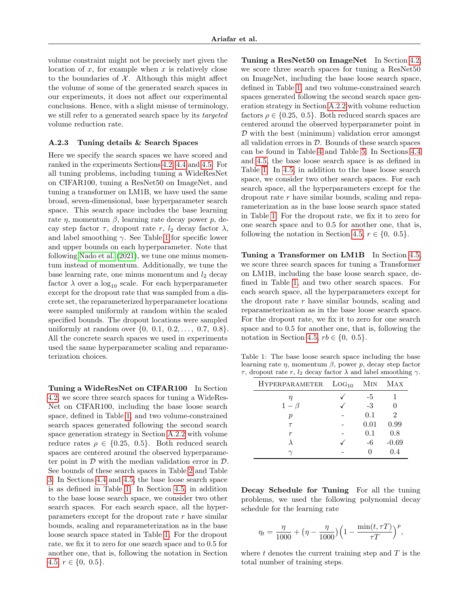volume constraint might not be precisely met given the location of  $x$ , for example when  $x$  is relatively close to the boundaries of  $X$ . Although this might affect the volume of some of the generated search spaces in our experiments, it does not affect our experimental conclusions. Hence, with a slight misuse of terminology, we still refer to a generated search space by its targeted volume reduction rate.

#### <span id="page-12-0"></span>A.2.3 Tuning details & Search Spaces

Here we specify the search spaces we have scored and ranked in the experiments Sections [4.2,](#page-5-2) [4.4](#page-6-1) and [4.5.](#page-7-3) For all tuning problems, including tuning a WideResNet on CIFAR100, tuning a ResNet50 on ImageNet, and tuning a transformer on LM1B, we have used the same broad, seven-dimensional, base hyperparameter search space. This search space includes the base learning rate  $\eta$ , momentum  $\beta$ , learning rate decay power p, decay step factor  $\tau$ , dropout rate r,  $l_2$  decay factor  $\lambda$ , and label smoothing  $\gamma$ . See Table [1](#page-12-1) for specific lower and upper bounds on each hyperparameter. Note that following [Nado et al.](#page-9-3) [\(2021\)](#page-9-3), we tune one minus momentum instead of momentum. Additionally, we tune the base learning rate, one minus momentum and  $l_2$  decay factor  $\lambda$  over a  $\log_{10}$  scale. For each hyperparameter except for the dropout rate that was sampled from a discrete set, the reparameterized hyperparameter locations were sampled uniformly at random within the scaled specified bounds. The dropout locations were sampled uniformly at random over  $\{0, 0.1, 0.2, \ldots, 0.7, 0.8\}$ . All the concrete search spaces we used in experiments used the same hyperparameter scaling and reparameterization choices.

Tuning a WideResNet on CIFAR100 In Section [4.2,](#page-5-2) we score three search spaces for tuning a WideRes-Net on CIFAR100, including the base loose search space, defined in Table [1,](#page-12-1) and two volume-constrained search spaces generated following the second search space generation strategy in Section [A.2.2](#page-11-1) with volume reduce rates  $\rho \in \{0.25, 0.5\}$ . Both reduced search spaces are centered around the observed hyperparameter point in  $D$  with the median validation error in  $D$ . See bounds of these search spaces in Table [2](#page-13-1) and Table [3.](#page-13-2) In Sections [4.4](#page-6-1) and [4.5,](#page-7-3) the base loose search space is as defined in Table [1.](#page-12-1) In Section [4.5,](#page-7-3) in addition to the base loose search space, we consider two other search spaces. For each search space, all the hyperparameters except for the dropout rate  $r$  have similar bounds, scaling and reparameterization as in the base loose search space stated in Table [1.](#page-12-1) For the dropout rate, we fix it to zero for one search space and to 0.5 for another one, that is, following the notation in Section [4.5,](#page-7-3)  $r \in \{0, 0.5\}.$ 

Tuning a ResNet50 on ImageNet In Section [4.2,](#page-5-2) we score three search spaces for tuning a ResNet50 on ImageNet, including the base loose search space, defined in Table [1,](#page-12-1) and two volume-constrained search spaces generated following the second search space generation strategy in Section [A.2.2](#page-11-1) with volume reduction factors  $\rho \in \{0.25, 0.5\}$ . Both reduced search spaces are centered around the observed hyperparameter point in  $\mathcal D$  with the best (minimum) validation error amongst all validation errors in  $D$ . Bounds of these search spaces can be found in Table [4](#page-13-3) and Table [5.](#page-13-4) In Sections [4.4](#page-6-1) and [4.5,](#page-7-3) the base loose search space is as defined in Table [1.](#page-12-1) In [4.5,](#page-7-3) in addition to the base loose search space, we consider two other search spaces. For each search space, all the hyperparameters except for the dropout rate r have similar bounds, scaling and reparameterization as in the base loose search space stated in Table [1.](#page-12-1) For the dropout rate, we fix it to zero for one search space and to 0.5 for another one, that is, following the notation in Section [4.5,](#page-7-3)  $r \in \{0, 0.5\}.$ 

Tuning a Transformer on LM1B In Section [4.5,](#page-7-3) we score three search spaces for tuning a Transformer on LM1B, including the base loose search space, defined in Table [1,](#page-12-1) and two other search spaces. For each search space, all the hyperparameters except for the dropout rate  $r$  have similar bounds, scaling and reparameterization as in the base loose search space. For the dropout rate, we fix it to zero for one search space and to 0.5 for another one, that is, following the notation in Section [4.5,](#page-7-3)  $rb \in \{0, 0.5\}.$ 

<span id="page-12-1"></span>Table 1: The base loose search space including the base learning rate  $\eta$ , momentum  $\beta$ , power  $p$ , decay step factor τ, dropout rate r,  $l_2$  decay factor  $\lambda$  and label smoothing  $\gamma$ .

| <b>HYPERPARAMETER</b> | LOG <sub>10</sub> | MIN  | MAX     |
|-----------------------|-------------------|------|---------|
| η                     |                   | -5   |         |
| $1-\beta$             |                   | $-3$ |         |
| $\boldsymbol{p}$      |                   | 0.1  | 2       |
| $\tau$                |                   | 0.01 | 0.99    |
| r                     |                   | 0.1  | 0.8     |
|                       |                   | -6   | $-0.69$ |
|                       |                   |      | 0.4     |

Decay Schedule for Tuning For all the tuning problems, we used the following polynomial decay schedule for the learning rate

$$
\eta_t = \frac{\eta}{1000} + \left(\eta - \frac{\eta}{1000}\right) \left(1 - \frac{\min(t, \tau T)}{\tau T}\right)^p,
$$

where  $t$  denotes the current training step and  $T$  is the total number of training steps.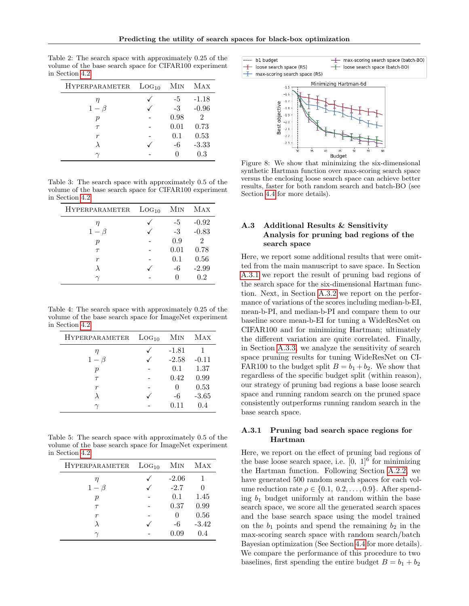<span id="page-13-1"></span>Table 2: The search space with approximately 0.25 of the volume of the base search space for CIFAR100 experiment in Section [4.2.](#page-5-2)

| <b>HYPERPARAMETER</b> | LOG <sub>10</sub> | MIN  | MAX                         |
|-----------------------|-------------------|------|-----------------------------|
| η                     |                   | -5   | $-1.18$                     |
| $1-\beta$             |                   | $-3$ | $-0.96$                     |
| р                     |                   | 0.98 | $\mathcal{D}_{\mathcal{L}}$ |
| $\tau$                |                   | 0.01 | 0.73                        |
| r                     |                   | 0.1  | 0.53                        |
|                       |                   | -6   | $-3.33$                     |
|                       |                   |      | 0.3                         |

<span id="page-13-2"></span>Table 3: The search space with approximately 0.5 of the volume of the base search space for CIFAR100 experiment in Section [4.2.](#page-5-2)

| <b>HYPERPARAMETER</b> | LOG <sub>10</sub> | MIN  | MAX            |
|-----------------------|-------------------|------|----------------|
| η                     |                   | -5   | $-0.92$        |
| $1-\beta$             |                   | $-3$ | $-0.83$        |
| р                     |                   | 0.9  | $\overline{2}$ |
| $\tau$                |                   | 0.01 | 0.78           |
| $\boldsymbol{r}$      |                   | 0.1  | 0.56           |
|                       |                   | -6   | $-2.99$        |
|                       |                   |      | 0.2            |

<span id="page-13-3"></span>Table 4: The search space with approximately 0.25 of the volume of the base search space for ImageNet experiment in Section [4.2.](#page-5-2)

| <b>HYPERPARAMETER</b> | LOG <sub>10</sub> | MIN     | MAX     |
|-----------------------|-------------------|---------|---------|
| η                     |                   | $-1.81$ |         |
| $1-\beta$             |                   | $-2.58$ | $-0.11$ |
| р                     |                   | 0.1     | 1.37    |
| $\tau$                |                   | 0.42    | 0.99    |
| r                     |                   |         | 0.53    |
|                       |                   | -6      | $-3.65$ |
|                       |                   | 0.11    | 0.4     |

<span id="page-13-4"></span>Table 5: The search space with approximately 0.5 of the volume of the base search space for ImageNet experiment in Section [4.2.](#page-5-2)

| HYPERPARAMETER | LOG <sub>10</sub> | MIN     | MAX     |
|----------------|-------------------|---------|---------|
| η              |                   | $-2.06$ |         |
| $1-\beta$      |                   | $-2.7$  |         |
| р              |                   | 0.1     | 1.45    |
| $\tau$         |                   | 0.37    | 0.99    |
| r              |                   |         | 0.56    |
|                |                   | -6      | $-3.42$ |
|                |                   | 0.09    | 0.4     |

<span id="page-13-0"></span>

Figure 8: We show that minimizing the six-dimensional synthetic Hartman function over max-scoring search space versus the enclosing loose search space can achieve better results, faster for both random search and batch-BO (see Section [4.4](#page-6-1) for more details).

## A.3 Additional Results & Sensitivity Analysis for pruning bad regions of the search space

Here, we report some additional results that were omitted from the main manuscript to save space. In Section [A.3.1](#page-13-5) we report the result of pruning bad regions of the search space for the six-dimensional Hartman function. Next, in Section [A.3.2](#page-14-0) we report on the performance of variations of the scores including median-b-EI, mean-b-PI, and median-b-PI and compare them to our baseline score mean-b-EI for tuning a WideResNet on CIFAR100 and for minimizing Hartman; ultimately the different variation are quite correlated. Finally, in Section [A.3.3,](#page-14-1) we analyze the sensitivity of search space pruning results for tuning WideResNet on CI-FAR100 to the budget split  $B = b_1 + b_2$ . We show that regardless of the specific budget split (within reason), our strategy of pruning bad regions a base loose search space and running random search on the pruned space consistently outperforms running random search in the base search space.

## <span id="page-13-5"></span>A.3.1 Pruning bad search space regions for Hartman

Here, we report on the effect of pruning bad regions of the base loose search space, i.e.  $[0, 1]^{6}$  for minimizing the Hartman function. Following Section [A.2.2,](#page-11-1) we have generated 500 random search spaces for each volume reduction rate  $\rho \in \{0.1, 0.2, \ldots, 0.9\}$ . After spending  $b_1$  budget uniformly at random within the base search space, we score all the generated search spaces and the base search space using the model trained on the  $b_1$  points and spend the remaining  $b_2$  in the max-scoring search space with random search/batch Bayesian optimization (See Section [4.4](#page-6-1) for more details). We compare the performance of this procedure to two baselines, first spending the entire budget  $B = b_1 + b_2$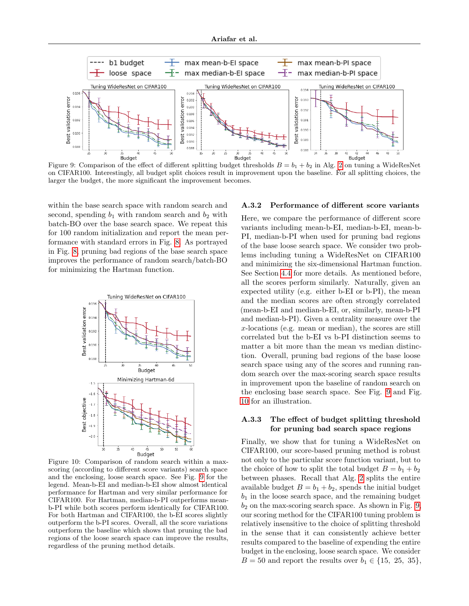<span id="page-14-2"></span>

Figure 9: Comparison of the effect of different splitting budget thresholds  $B = b_1 + b_2$  in Alg. [2](#page-4-0) on tuning a WideResNet on CIFAR100. Interestingly, all budget split choices result in improvement upon the baseline. For all splitting choices, the larger the budget, the more significant the improvement becomes.

within the base search space with random search and second, spending  $b_1$  with random search and  $b_2$  with batch-BO over the base search space. We repeat this for 100 random initialization and report the mean performance with standard errors in Fig. [8.](#page-13-0) As portrayed in Fig. [8,](#page-13-0) pruning bad regions of the base search space improves the performance of random search/batch-BO for minimizing the Hartman function.

<span id="page-14-3"></span>

<span id="page-14-0"></span>Figure 10: Comparison of random search within a maxscoring (according to different score variants) search space and the enclosing, loose search space. See Fig. [9](#page-14-2) for the legend. Mean-b-EI and median-b-EI show almost identical performance for Hartman and very similar performance for CIFAR100. For Hartman, median-b-PI outperforms meanb-PI while both scores perform identically for CIFAR100. For both Hartman and CIFAR100, the b-EI scores slightly outperform the b-PI scores. Overall, all the score variations outperform the baseline which shows that pruning the bad regions of the loose search space can improve the results, regardless of the pruning method details.

#### A.3.2 Performance of different score variants

Here, we compare the performance of different score variants including mean-b-EI, median-b-EI, mean-b-PI, median-b-PI when used for pruning bad regions of the base loose search space. We consider two problems including tuning a WideResNet on CIFAR100 and minimizing the six-dimensional Hartman function. See Section [4.4](#page-6-1) for more details. As mentioned before, all the scores perform similarly. Naturally, given an expected utility (e.g. either b-EI or b-PI), the mean and the median scores are often strongly correlated (mean-b-EI and median-b-EI, or, similarly, mean-b-PI and median-b-PI). Given a centrality measure over the x-locations (e.g. mean or median), the scores are still correlated but the b-EI vs b-PI distinction seems to matter a bit more than the mean vs median distinction. Overall, pruning bad regions of the base loose search space using any of the scores and running random search over the max-scoring search space results in improvement upon the baseline of random search on the enclosing base search space. See Fig. [9](#page-14-2) and Fig. [10](#page-14-3) for an illustration.

#### <span id="page-14-1"></span>A.3.3 The effect of budget splitting threshold for pruning bad search space regions

Finally, we show that for tuning a WideResNet on CIFAR100, our score-based pruning method is robust not only to the particular score function variant, but to the choice of how to split the total budget  $B = b_1 + b_2$ between phases. Recall that Alg. [2](#page-4-0) splits the entire available budget  $B = b_1 + b_2$ , spends the initial budget  $b_1$  in the loose search space, and the remaining budget  $b_2$  on the max-scoring search space. As shown in Fig. [9,](#page-14-2) our scoring method for the CIFAR100 tuning problem is relatively insensitive to the choice of splitting threshold in the sense that it can consistently achieve better results compared to the baseline of expending the entire budget in the enclosing, loose search space. We consider  $B = 50$  and report the results over  $b_1 \in \{15, 25, 35\},\$